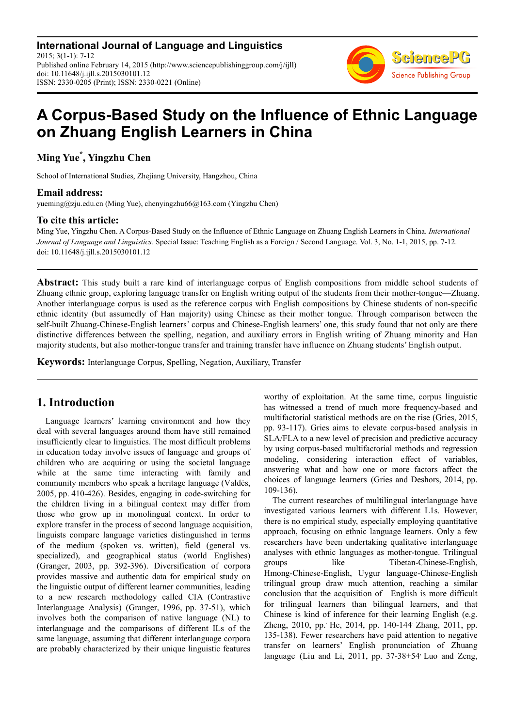**International Journal of Language and Linguistics** 2015; 3(1-1): 7-12 Published online February 14, 2015 (http://www.sciencepublishinggroup.com/j/ijll) doi: 10.11648/j.ijll.s.2015030101.12 ISSN: 2330-0205 (Print); ISSN: 2330-0221 (Online)



# **A Corpus-Based Study on the Influence of Ethnic Language on Zhuang English Learners in China**

## **Ming Yue\* , Yingzhu Chen**

School of International Studies, Zhejiang University, Hangzhou, China

## **Email address:**

yueming@zju.edu.cn (Ming Yue), chenyingzhu66@163.com (Yingzhu Chen)

## **To cite this article:**

Ming Yue, Yingzhu Chen. A Corpus-Based Study on the Influence of Ethnic Language on Zhuang English Learners in China. *International Journal of Language and Linguistics.* Special Issue: Teaching English as a Foreign / Second Language. Vol. 3, No. 1-1, 2015, pp. 7-12. doi: 10.11648/j.ijll.s.2015030101.12

**Abstract:** This study built a rare kind of interlanguage corpus of English compositions from middle school students of Zhuang ethnic group, exploring language transfer on English writing output of the students from their mother-tongue—Zhuang. Another interlanguage corpus is used as the reference corpus with English compositions by Chinese students of non-specific ethnic identity (but assumedly of Han majority) using Chinese as their mother tongue. Through comparison between the self-built Zhuang-Chinese-English learners' corpus and Chinese-English learners' one, this study found that not only are there distinctive differences between the spelling, negation, and auxiliary errors in English writing of Zhuang minority and Han majority students, but also mother-tongue transfer and training transfer have influence on Zhuang students' English output.

**Keywords:** Interlanguage Corpus, Spelling, Negation, Auxiliary, Transfer

# **1. Introduction**

Language learners' learning environment and how they deal with several languages around them have still remained insufficiently clear to linguistics. The most difficult problems in education today involve issues of language and groups of children who are acquiring or using the societal language while at the same time interacting with family and community members who speak a heritage language (Valdés, 2005, pp. 410-426). Besides, engaging in code-switching for the children living in a bilingual context may differ from those who grow up in monolingual context. In order to explore transfer in the process of second language acquisition, linguists compare language varieties distinguished in terms of the medium (spoken vs. written), field (general vs. specialized), and geographical status (world Englishes) (Granger, 2003, pp. 392-396). Diversification of corpora provides massive and authentic data for empirical study on the linguistic output of different learner communities, leading to a new research methodology called CIA (Contrastive Interlanguage Analysis) (Granger, 1996, pp. 37-51), which involves both the comparison of native language (NL) to interlanguage and the comparisons of different ILs of the same language, assuming that different interlanguage corpora are probably characterized by their unique linguistic features

worthy of exploitation. At the same time, corpus linguistic has witnessed a trend of much more frequency-based and multifactorial statistical methods are on the rise (Gries, 2015, pp. 93-117). Gries aims to elevate corpus-based analysis in SLA/FLA to a new level of precision and predictive accuracy by using corpus-based multifactorial methods and regression modeling, considering interaction effect of variables, answering what and how one or more factors affect the choices of language learners (Gries and Deshors, 2014, pp. 109-136).

The current researches of multilingual interlanguage have investigated various learners with different L1s. However, there is no empirical study, especially employing quantitative approach, focusing on ethnic language learners. Only a few researchers have been undertaking qualitative interlanguage analyses with ethnic languages as mother-tongue. Trilingual groups like Tibetan-Chinese-English, Hmong-Chinese-English, Uygur language-Chinese-English trilingual group draw much attention, reaching a similar conclusion that the acquisition of English is more difficult for trilingual learners than bilingual learners, and that Chinese is kind of inference for their learning English (e.g. Zheng, 2010, pp. He, 2014, pp. 140-144<sup>,</sup> Zhang, 2011, pp. 135-138). Fewer researchers have paid attention to negative transfer on learners' English pronunciation of Zhuang language (Liu and Li, 2011, pp.  $37-38+54$ <sup>,</sup> Luo and Zeng,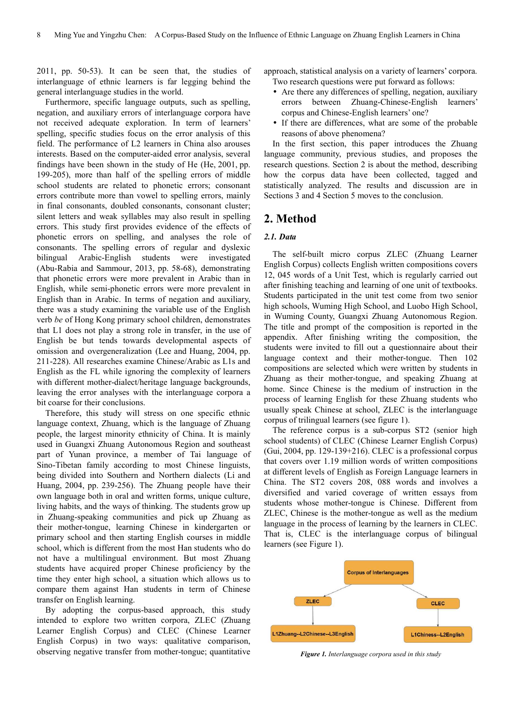2011, pp. 50-53). It can be seen that, the studies of interlanguage of ethnic learners is far legging behind the general interlanguage studies in the world.

Furthermore, specific language outputs, such as spelling, negation, and auxiliary errors of interlanguage corpora have not received adequate exploration. In term of learners' spelling, specific studies focus on the error analysis of this field. The performance of L2 learners in China also arouses interests. Based on the computer-aided error analysis, several findings have been shown in the study of He (He, 2001, pp. 199-205), more than half of the spelling errors of middle school students are related to phonetic errors; consonant errors contribute more than vowel to spelling errors, mainly in final consonants, doubled consonants, consonant cluster; silent letters and weak syllables may also result in spelling errors. This study first provides evidence of the effects of phonetic errors on spelling, and analyses the role of consonants. The spelling errors of regular and dyslexic bilingual Arabic-English students were investigated (Abu-Rabia and Sammour, 2013, pp. 58-68), demonstrating that phonetic errors were more prevalent in Arabic than in English, while semi-phonetic errors were more prevalent in English than in Arabic. In terms of negation and auxiliary, there was a study examining the variable use of the English verb *be* of Hong Kong primary school children, demonstrates that L1 does not play a strong role in transfer, in the use of English be but tends towards developmental aspects of omission and overgeneralization (Lee and Huang, 2004, pp. 211-228). All researches examine Chinese/Arabic as L1s and English as the FL while ignoring the complexity of learners with different mother-dialect/heritage language backgrounds, leaving the error analyses with the interlanguage corpora a bit coarse for their conclusions.

Therefore, this study will stress on one specific ethnic language context, Zhuang, which is the language of Zhuang people, the largest minority ethnicity of China. It is mainly used in Guangxi Zhuang Autonomous Region and southeast part of Yunan province, a member of Tai language of Sino-Tibetan family according to most Chinese linguists, being divided into Southern and Northern dialects (Li and Huang, 2004, pp. 239-256). The Zhuang people have their own language both in oral and written forms, unique culture, living habits, and the ways of thinking. The students grow up in Zhuang-speaking communities and pick up Zhuang as their mother-tongue, learning Chinese in kindergarten or primary school and then starting English courses in middle school, which is different from the most Han students who do not have a multilingual environment. But most Zhuang students have acquired proper Chinese proficiency by the time they enter high school, a situation which allows us to compare them against Han students in term of Chinese transfer on English learning.

By adopting the corpus-based approach, this study intended to explore two written corpora, ZLEC (Zhuang Learner English Corpus) and CLEC (Chinese Learner English Corpus) in two ways: qualitative comparison, observing negative transfer from mother-tongue; quantitative

approach, statistical analysis on a variety of learners' corpora.

Two research questions were put forward as follows:

- Are there any differences of spelling, negation, auxiliary errors between Zhuang-Chinese-English learners' corpus and Chinese-English learners' one?
- If there are differences, what are some of the probable reasons of above phenomena?

In the first section, this paper introduces the Zhuang language community, previous studies, and proposes the research questions. Section 2 is about the method, describing how the corpus data have been collected, tagged and statistically analyzed. The results and discussion are in Sections 3 and 4 Section 5 moves to the conclusion.

## **2. Method**

#### *2.1. Data*

The self-built micro corpus ZLEC (Zhuang Learner English Corpus) collects English written compositions covers 12, 045 words of a Unit Test, which is regularly carried out after finishing teaching and learning of one unit of textbooks. Students participated in the unit test come from two senior high schools, Wuming High School, and Luobo High School, in Wuming County, Guangxi Zhuang Autonomous Region. The title and prompt of the composition is reported in the appendix. After finishing writing the composition, the students were invited to fill out a questionnaire about their language context and their mother-tongue. Then 102 compositions are selected which were written by students in Zhuang as their mother-tongue, and speaking Zhuang at home. Since Chinese is the medium of instruction in the process of learning English for these Zhuang students who usually speak Chinese at school, ZLEC is the interlanguage corpus of trilingual learners (see figure 1).

The reference corpus is a sub-corpus ST2 (senior high school students) of CLEC (Chinese Learner English Corpus) (Gui, 2004, pp. 129-139+216). CLEC is a professional corpus that covers over 1.19 million words of written compositions at different levels of English as Foreign Language learners in China. The ST2 covers 208, 088 words and involves a diversified and varied coverage of written essays from students whose mother-tongue is Chinese. Different from ZLEC, Chinese is the mother-tongue as well as the medium language in the process of learning by the learners in CLEC. That is, CLEC is the interlanguage corpus of bilingual learners (see Figure 1).



*Figure 1. Interlanguage corpora used in this study*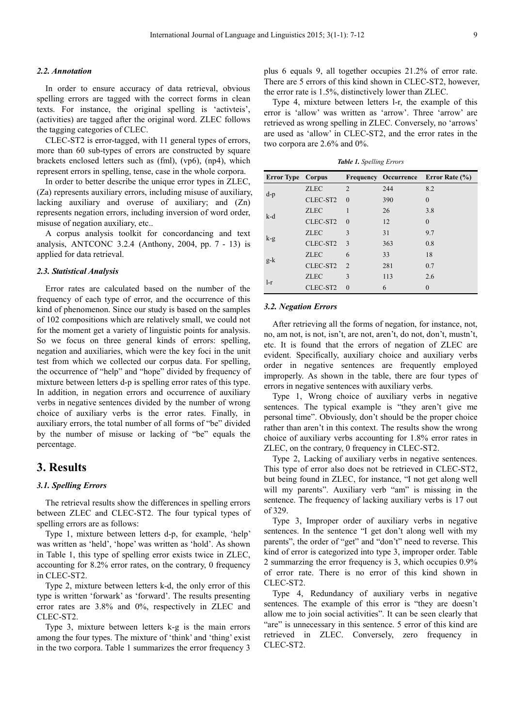#### *2.2. Annotation*

In order to ensure accuracy of data retrieval, obvious spelling errors are tagged with the correct forms in clean texts. For instance, the original spelling is 'activteis', (activities) are tagged after the original word. ZLEC follows the tagging categories of CLEC.

CLEC-ST2 is error-tagged, with 11 general types of errors, more than 60 sub-types of errors are constructed by square brackets enclosed letters such as (fml), (vp6), (np4), which represent errors in spelling, tense, case in the whole corpora.

In order to better describe the unique error types in ZLEC, (Za) represents auxiliary errors, including misuse of auxiliary, lacking auxiliary and overuse of auxiliary; and (Zn) represents negation errors, including inversion of word order, misuse of negation auxiliary, etc..

A corpus analysis toolkit for concordancing and text analysis, ANTCONC 3.2.4 (Anthony, 2004, pp. 7 - 13) is applied for data retrieval.

#### *2.3. Statistical Analysis*

Error rates are calculated based on the number of the frequency of each type of error, and the occurrence of this kind of phenomenon. Since our study is based on the samples of 102 compositions which are relatively small, we could not for the moment get a variety of linguistic points for analysis. So we focus on three general kinds of errors: spelling, negation and auxiliaries, which were the key foci in the unit test from which we collected our corpus data. For spelling, the occurrence of "help" and "hope" divided by frequency of mixture between letters d-p is spelling error rates of this type. In addition, in negation errors and occurrence of auxiliary verbs in negative sentences divided by the number of wrong choice of auxiliary verbs is the error rates. Finally, in auxiliary errors, the total number of all forms of "be" divided by the number of misuse or lacking of "be" equals the percentage.

## **3. Results**

#### *3.1. Spelling Errors*

The retrieval results show the differences in spelling errors between ZLEC and CLEC-ST2. The four typical types of spelling errors are as follows:

Type 1, mixture between letters d-p, for example, 'help' was written as 'held', 'hope' was written as 'hold'. As shown in Table 1, this type of spelling error exists twice in ZLEC, accounting for 8.2% error rates, on the contrary, 0 frequency in CLEC-ST2.

Type 2, mixture between letters k-d, the only error of this type is written 'forwark' as 'forward'. The results presenting error rates are 3.8% and 0%, respectively in ZLEC and CLEC-ST2.

Type 3, mixture between letters k-g is the main errors among the four types. The mixture of 'think' and 'thing' exist in the two corpora. Table 1 summarizes the error frequency 3

plus 6 equals 9, all together occupies 21.2% of error rate. There are 5 errors of this kind shown in CLEC-ST2, however, the error rate is 1.5%, distinctively lower than ZLEC.

Type 4, mixture between letters l-r, the example of this error is 'allow' was written as 'arrow'. Three 'arrow' are retrieved as wrong spelling in ZLEC. Conversely, no 'arrows' are used as 'allow' in CLEC-ST2, and the error rates in the two corpora are 2.6% and 0%.

*Table 1. Spelling Errors* 

| <b>Error Type Corpus</b> |             |                |     | <b>Frequency Occurrence Error Rate (%)</b> |
|--------------------------|-------------|----------------|-----|--------------------------------------------|
| $d-p$                    | <b>ZLEC</b> | $\overline{2}$ | 244 | 8.2                                        |
|                          | CLEC-ST2    | $\Omega$       | 390 | $\theta$                                   |
| k-d                      | <b>ZLEC</b> |                | 26  | 3.8                                        |
|                          | CLEC-ST2    | $\Omega$       | 12  | $\theta$                                   |
| $k-g$                    | <b>ZLEC</b> | 3              | 31  | 9.7                                        |
|                          | CLEC-ST2    | 3              | 363 | 0.8                                        |
| $g-k$                    | <b>ZLEC</b> | 6              | 33  | 18                                         |
|                          | CLEC-ST2    | 2              | 281 | 0.7                                        |
|                          | <b>ZLEC</b> | 3              | 113 | 2.6                                        |
| $l-r$                    | CLEC-ST2    | $\Omega$       | 6   |                                            |

#### *3.2. Negation Errors*

After retrieving all the forms of negation, for instance, not, no, am not, is not, isn't, are not, aren't, do not, don't, mustn't, etc. It is found that the errors of negation of ZLEC are evident. Specifically, auxiliary choice and auxiliary verbs order in negative sentences are frequently employed improperly. As shown in the table, there are four types of errors in negative sentences with auxiliary verbs.

Type 1, Wrong choice of auxiliary verbs in negative sentences. The typical example is "they aren't give me personal time". Obviously, don't should be the proper choice rather than aren't in this context. The results show the wrong choice of auxiliary verbs accounting for 1.8% error rates in ZLEC, on the contrary, 0 frequency in CLEC-ST2.

Type 2, Lacking of auxiliary verbs in negative sentences. This type of error also does not be retrieved in CLEC-ST2, but being found in ZLEC, for instance, "I not get along well will my parents". Auxiliary verb "am" is missing in the sentence. The frequency of lacking auxiliary verbs is 17 out of 329.

Type 3, Improper order of auxiliary verbs in negative sentences. In the sentence "I get don't along well with my parents", the order of "get" and "don't" need to reverse. This kind of error is categorized into type 3, improper order. Table 2 summarzing the error frequency is 3, which occupies 0.9% of error rate. There is no error of this kind shown in CLEC-ST2.

Type 4, Redundancy of auxiliary verbs in negative sentences. The example of this error is "they are doesn't allow me to join social activities". It can be seen clearly that "are" is unnecessary in this sentence. 5 error of this kind are retrieved in ZLEC. Conversely, zero frequency in CLEC-ST2.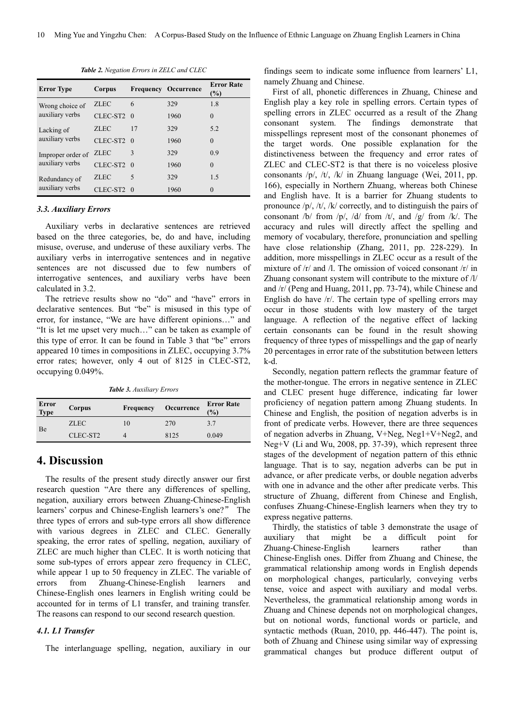| Corpus      |    |                                                      | <b>Error Rate</b><br>(%)    |
|-------------|----|------------------------------------------------------|-----------------------------|
| <b>ZLEC</b> | 6  | 329                                                  | 1.8                         |
|             |    | 1960                                                 | $\Omega$                    |
| <b>ZLEC</b> | 17 | 329                                                  | 5.2                         |
|             |    | 1960                                                 | $\Omega$                    |
| <b>ZLEC</b> | 3  | 329                                                  | 0.9                         |
|             |    | 1960                                                 | $\theta$                    |
| <b>ZLEC</b> | 5  | 329                                                  | 1.5                         |
|             |    | 1960                                                 | $\Omega$                    |
|             |    | CLEC-ST2 0<br>CLEC-ST2 0<br>CLEC-ST2 0<br>CLEC-ST2 0 | <b>Frequency Occurrence</b> |

*Table 2. Negation Errors in ZELC and CLEC* 

#### *3.3. Auxiliary Errors*

Auxiliary verbs in declarative sentences are retrieved based on the three categories, be, do and have, including misuse, overuse, and underuse of these auxiliary verbs. The auxiliary verbs in interrogative sentences and in negative sentences are not discussed due to few numbers of interrogative sentences, and auxiliary verbs have been calculated in 3.2.

The retrieve results show no "do" and "have" errors in declarative sentences. But "be" is misused in this type of error, for instance, "We are have different opinions…" and "It is let me upset very much…" can be taken as example of this type of error. It can be found in Table 3 that "be" errors appeared 10 times in compositions in ZLEC, occupying 3.7% error rates; however, only 4 out of 8125 in CLEC-ST2, occupying 0.049%.

*Table 3. Auxiliary Errors* 

| Error<br><b>Type</b> | Corpus      | Frequency | Occurrence | <b>Error Rate</b><br>$\frac{1}{2}$ |
|----------------------|-------------|-----------|------------|------------------------------------|
| Be                   | <b>ZLEC</b> | . O       | 270        | 3.7                                |
|                      | CLEC-ST2    |           | 8125       | 0.049                              |

## **4. Discussion**

The results of the present study directly answer our first research question "Are there any differences of spelling, negation, auxiliary errors between Zhuang-Chinese-English learners' corpus and Chinese-English learners's one?" The three types of errors and sub-type errors all show difference with various degrees in ZLEC and CLEC. Generally speaking, the error rates of spelling, negation, auxiliary of ZLEC are much higher than CLEC. It is worth noticing that some sub-types of errors appear zero frequency in CLEC, while appear 1 up to 50 frequency in ZLEC. The variable of errors from Zhuang-Chinese-English learners and Chinese-English ones learners in English writing could be accounted for in terms of L1 transfer, and training transfer. The reasons can respond to our second research question.

#### *4.1. L1 Transfer*

The interlanguage spelling, negation, auxiliary in our

findings seem to indicate some influence from learners' L1, namely Zhuang and Chinese.

First of all, phonetic differences in Zhuang, Chinese and English play a key role in spelling errors. Certain types of spelling errors in ZLEC occurred as a result of the Zhang consonant system. The findings demonstrate that misspellings represent most of the consonant phonemes of the target words. One possible explanation for the distinctiveness between the frequency and error rates of ZLEC and CLEC-ST2 is that there is no voiceless plosive consonants /p/, /t/, /k/ in Zhuang language (Wei, 2011, pp. 166), especially in Northern Zhuang, whereas both Chinese and English have. It is a barrier for Zhuang students to pronounce /p/, /t/, /k/ correctly, and to distinguish the pairs of consonant /b/ from /p/, /d/ from /t/, and /g/ from /k/. The accuracy and rules will directly affect the spelling and memory of vocabulary, therefore, pronunciation and spelling have close relationship (Zhang, 2011, pp. 228-229). In addition, more misspellings in ZLEC occur as a result of the mixture of  $\vert r \vert$  and  $\vert r \vert$ . The omission of voiced consonant  $\vert r \vert$  in Zhuang consonant system will contribute to the mixture of /l/ and /r/ (Peng and Huang, 2011, pp. 73-74), while Chinese and English do have /r/. The certain type of spelling errors may occur in those students with low mastery of the target language. A reflection of the negative effect of lacking certain consonants can be found in the result showing frequency of three types of misspellings and the gap of nearly 20 percentages in error rate of the substitution between letters k-d.

Secondly, negation pattern reflects the grammar feature of the mother-tongue. The errors in negative sentence in ZLEC and CLEC present huge difference, indicating far lower proficiency of negation pattern among Zhuang students. In Chinese and English, the position of negation adverbs is in front of predicate verbs. However, there are three sequences of negation adverbs in Zhuang, V+Neg, Neg1+V+Neg2, and Neg+V (Li and Wu, 2008, pp. 37-39), which represent three stages of the development of negation pattern of this ethnic language. That is to say, negation adverbs can be put in advance, or after predicate verbs, or double negation adverbs with one in advance and the other after predicate verbs. This structure of Zhuang, different from Chinese and English, confuses Zhuang-Chinese-English learners when they try to express negative patterns.

Thirdly, the statistics of table 3 demonstrate the usage of auxiliary that might be a difficult point for Zhuang-Chinese-English learners rather than Chinese-English ones. Differ from Zhuang and Chinese, the grammatical relationship among words in English depends on morphological changes, particularly, conveying verbs tense, voice and aspect with auxiliary and modal verbs. Nevertheless, the grammatical relationship among words in Zhuang and Chinese depends not on morphological changes, but on notional words, functional words or particle, and syntactic methods (Ruan, 2010, pp. 446-447). The point is, both of Zhuang and Chinese using similar way of expressing grammatical changes but produce different output of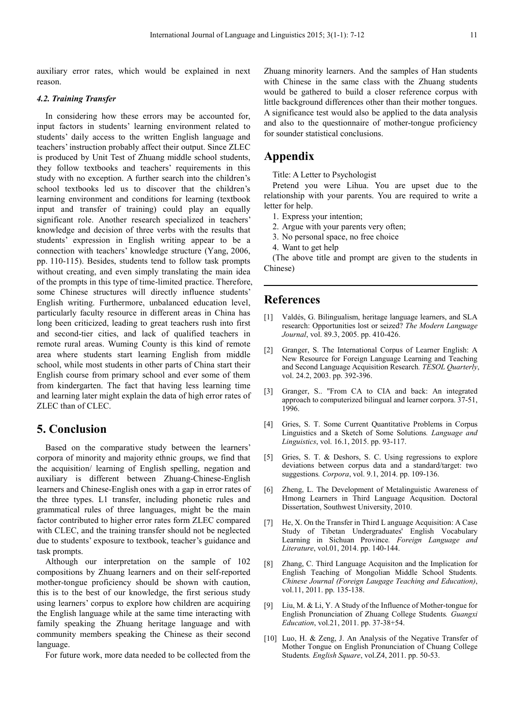auxiliary error rates, which would be explained in next reason.

#### *4.2. Training Transfer*

In considering how these errors may be accounted for, input factors in students' learning environment related to students' daily access to the written English language and teachers' instruction probably affect their output. Since ZLEC is produced by Unit Test of Zhuang middle school students, they follow textbooks and teachers' requirements in this study with no exception. A further search into the children's school textbooks led us to discover that the children's learning environment and conditions for learning (textbook input and transfer of training) could play an equally significant role. Another research specialized in teachers' knowledge and decision of three verbs with the results that students' expression in English writing appear to be a connection with teachers' knowledge structure (Yang, 2006, pp. 110-115). Besides, students tend to follow task prompts without creating, and even simply translating the main idea of the prompts in this type of time-limited practice. Therefore, some Chinese structures will directly influence students' English writing. Furthermore, unbalanced education level, particularly faculty resource in different areas in China has long been criticized, leading to great teachers rush into first and second-tier cities, and lack of qualified teachers in remote rural areas. Wuming County is this kind of remote area where students start learning English from middle school, while most students in other parts of China start their English course from primary school and ever some of them from kindergarten. The fact that having less learning time and learning later might explain the data of high error rates of ZLEC than of CLEC.

## **5. Conclusion**

Based on the comparative study between the learners' corpora of minority and majority ethnic groups, we find that the acquisition/ learning of English spelling, negation and auxiliary is different between Zhuang-Chinese-English learners and Chinese-English ones with a gap in error rates of the three types. L1 transfer, including phonetic rules and grammatical rules of three languages, might be the main factor contributed to higher error rates form ZLEC compared with CLEC, and the training transfer should not be neglected due to students' exposure to textbook, teacher's guidance and task prompts.

Although our interpretation on the sample of 102 compositions by Zhuang learners and on their self-reported mother-tongue proficiency should be shown with caution, this is to the best of our knowledge, the first serious study using learners' corpus to explore how children are acquiring the English language while at the same time interacting with family speaking the Zhuang heritage language and with community members speaking the Chinese as their second language.

For future work, more data needed to be collected from the

Zhuang minority learners. And the samples of Han students with Chinese in the same class with the Zhuang students would be gathered to build a closer reference corpus with little background differences other than their mother tongues. A significance test would also be applied to the data analysis and also to the questionnaire of mother-tongue proficiency for sounder statistical conclusions.

## **Appendix**

Title: A Letter to Psychologist

Pretend you were Lihua. You are upset due to the relationship with your parents. You are required to write a letter for help.

- 1. Express your intention;
- 2. Argue with your parents very often;
- 3. No personal space, no free choice
- 4. Want to get help

(The above title and prompt are given to the students in Chinese)

## **References**

- [1] Valdés, G. Bilingualism, heritage language learners, and SLA research: Opportunities lost or seized? *The Modern Language Journal*, vol. 89.3, 2005. pp. 410-426.
- [2] Granger, S. The International Corpus of Learner English: A New Resource for Foreign Language Learning and Teaching and Second Language Acquisition Research*. TESOL Quarterly*, vol. 24.2, 2003. pp. 392-396.
- [3] Granger, S.. "From CA to CIA and back: An integrated approach to computerized bilingual and learner corpora. 37-51, 1996.
- [4] Gries, S. T. Some Current Quantitative Problems in Corpus Linguistics and a Sketch of Some Solutions*. Language and Linguistics*, vol. 16.1, 2015. pp. 93-117.
- [5] Gries, S. T. & Deshors, S. C. Using regressions to explore deviations between corpus data and a standard/target: two suggestions*. Corpora*, vol. 9.1, 2014. pp. 109-136.
- [6] Zheng, L. The Development of Metalinguistic Awareness of Hmong Learners in Third Language Acqusition. Doctoral Dissertation, Southwest University, 2010.
- He, X. On the Transfer in Third L anguage Acquisition: A Case Study of Tibetan Undergraduates' English Vocabulary Learning in Sichuan Province*. Foreign Language and Literature*, vol.01, 2014. pp. 140-144.
- [8] Zhang, C. Third Language Acquisiton and the Implication for English Teaching of Mongolian Middle School Students*. Chinese Journal (Foreign Laugage Teaching and Education)*, vol.11, 2011. pp. 135-138.
- [9] Liu, M. & Li, Y. A Study of the Influence of Mother-tongue for English Pronunciation of Zhuang College Students*. Guangxi Education*, vol.21, 2011. pp. 37-38+54.
- [10] Luo, H. & Zeng, J. An Analysis of the Negative Transfer of Mother Tongue on English Pronunciation of Chuang College Students*. English Square*, vol.Z4, 2011. pp. 50-53.